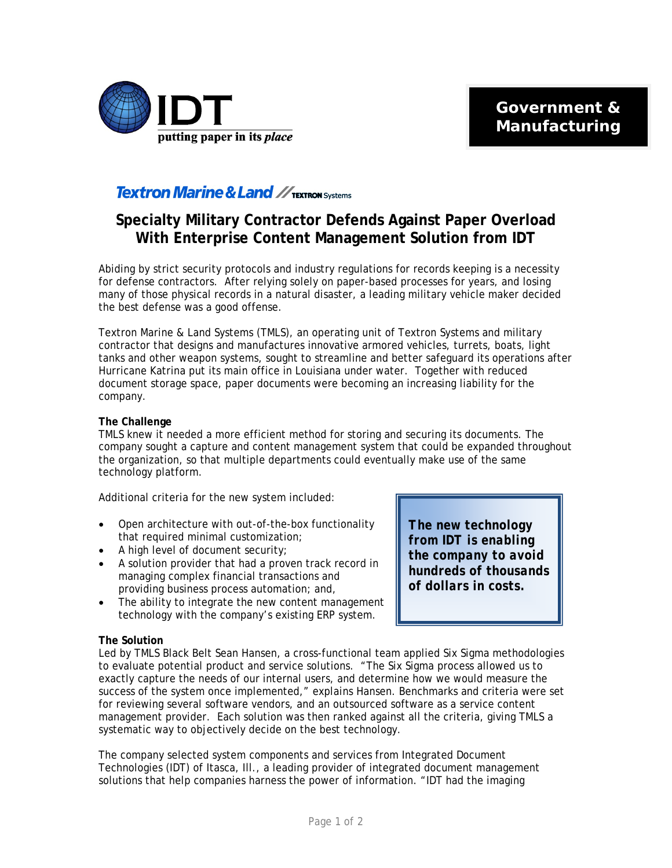

## **Textron Marine & Land // TEXTRON Systems**

# **Specialty Military Contractor Defends Against Paper Overload With Enterprise Content Management Solution from IDT**

Abiding by strict security protocols and industry regulations for records keeping is a necessity for defense contractors. After relying solely on paper-based processes for years, and losing many of those physical records in a natural disaster, a leading military vehicle maker decided the best defense was a good offense.

Textron Marine & Land Systems (TMLS), an operating unit of Textron Systems and military contractor that designs and manufactures innovative armored vehicles, turrets, boats, light tanks and other weapon systems, sought to streamline and better safeguard its operations after Hurricane Katrina put its main office in Louisiana under water. Together with reduced document storage space, paper documents were becoming an increasing liability for the company.

### **The Challenge**

TMLS knew it needed a more efficient method for storing and securing its documents. The company sought a capture and content management system that could be expanded throughout the organization, so that multiple departments could eventually make use of the same technology platform.

Additional criteria for the new system included:

- Open architecture with out-of-the-box functionality that required minimal customization;
- A high level of document security:
- A solution provider that had a proven track record in managing complex financial transactions and providing business process automation; and,
- The ability to integrate the new content management technology with the company's existing ERP system.

**The Solution** 

Led by TMLS Black Belt Sean Hansen, a cross-functional team applied Six Sigma methodologies to evaluate potential product and service solutions. "The Six Sigma process allowed us to exactly capture the needs of our internal users, and determine how we would measure the success of the system once implemented," explains Hansen. Benchmarks and criteria were set for reviewing several software vendors, and an outsourced software as a service content management provider. Each solution was then ranked against all the criteria, giving TMLS a systematic way to objectively decide on the best technology.

The company selected system components and services from Integrated Document Technologies (IDT) of Itasca, Ill., a leading provider of integrated document management solutions that help companies harness the power of information. "IDT had the imaging

*The new technology from IDT is enabling the company to avoid hundreds of thousands of dollars in costs.*